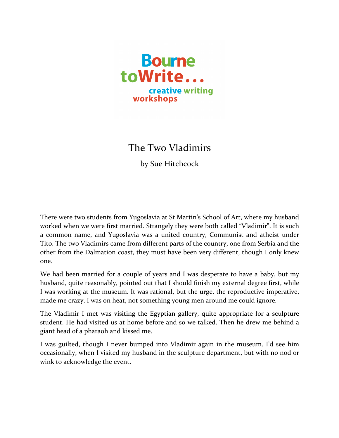

The Two Vladimirs

by Sue Hitchcock

There were two students from Yugoslavia at St Martin's School of Art, where my husband worked when we were first married. Strangely they were both called "Vladimir". It is such a common name, and Yugoslavia was a united country, Communist and atheist under Tito. The two Vladimirs came from different parts of the country, one from Serbia and the other from the Dalmation coast, they must have been very different, though I only knew one.

We had been married for a couple of years and I was desperate to have a baby, but my husband, quite reasonably, pointed out that I should finish my external degree first, while I was working at the museum. It was rational, but the urge, the reproductive imperative, made me crazy. I was on heat, not something young men around me could ignore.

The Vladimir I met was visiting the Egyptian gallery, quite appropriate for a sculpture student. He had visited us at home before and so we talked. Then he drew me behind a giant head of a pharaoh and kissed me.

I was guilted, though I never bumped into Vladimir again in the museum. I'd see him occasionally, when I visited my husband in the sculpture department, but with no nod or wink to acknowledge the event.